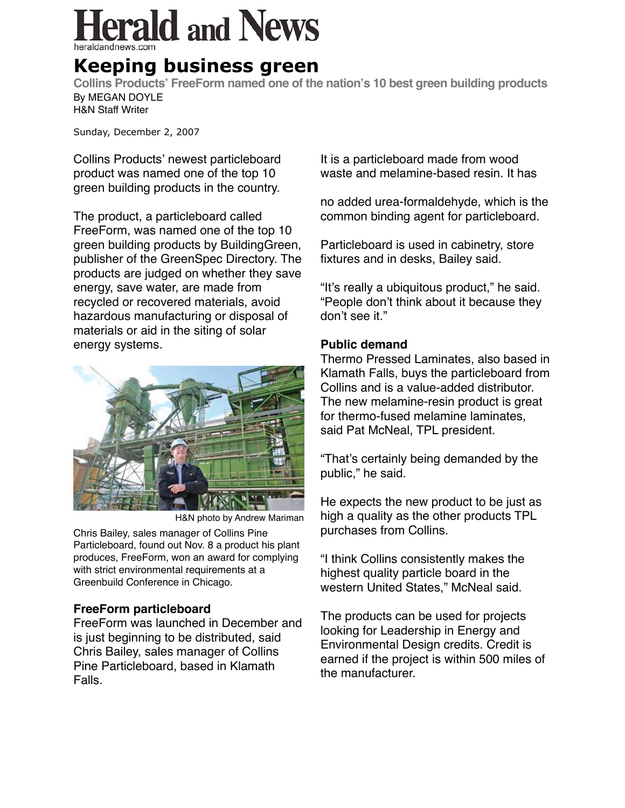# erald and News

## **Keeping business green**

**Collins Products' FreeForm named one of the nation's 10 best green building products** By MEGAN DOYLE H&N Staff Writer

Sunday, December 2, 2007

Collins Products' newest particleboard product was named one of the top 10 green building products in the country.

The product, a particleboard called FreeForm, was named one of the top 10 green building products by BuildingGreen, publisher of the GreenSpec Directory. The products are judged on whether they save energy, save water, are made from recycled or recovered materials, avoid hazardous manufacturing or disposal of materials or aid in the siting of solar energy systems.



H&N photo by Andrew Mariman

Chris Bailey, sales manager of Collins Pine Particleboard, found out Nov. 8 a product his plant produces, FreeForm, won an award for complying with strict environmental requirements at a Greenbuild Conference in Chicago.

### **FreeForm particleboard**

FreeForm was launched in December and is just beginning to be distributed, said Chris Bailey, sales manager of Collins Pine Particleboard, based in Klamath Falls.

It is a particleboard made from wood waste and melamine-based resin. It has

no added urea-formaldehyde, which is the common binding agent for particleboard.

Particleboard is used in cabinetry, store fixtures and in desks, Bailey said.

"It's really a ubiquitous product," he said. "People don't think about it because they don't see it."

### **Public demand**

Thermo Pressed Laminates, also based in Klamath Falls, buys the particleboard from Collins and is a value-added distributor. The new melamine-resin product is great for thermo-fused melamine laminates, said Pat McNeal, TPL president.

"That's certainly being demanded by the public," he said.

He expects the new product to be just as high a quality as the other products TPL purchases from Collins.

"I think Collins consistently makes the highest quality particle board in the western United States," McNeal said.

The products can be used for projects looking for Leadership in Energy and Environmental Design credits. Credit is earned if the project is within 500 miles of the manufacturer.